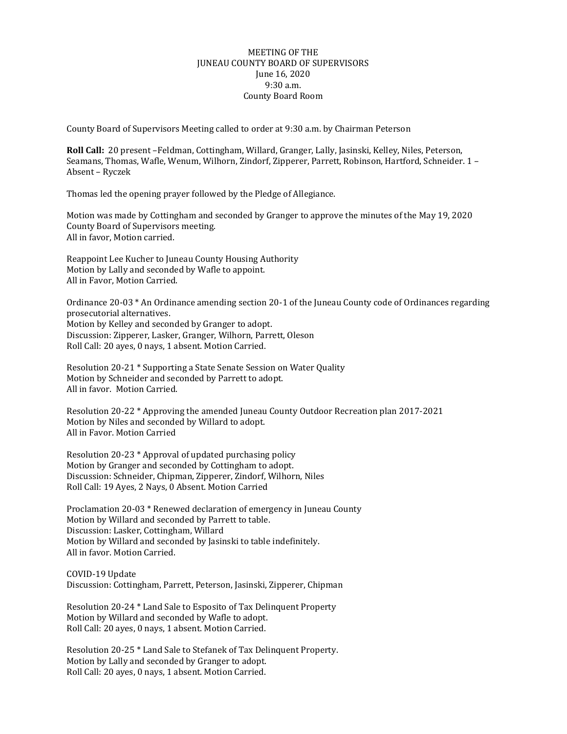## MEETING OF THE JUNEAU COUNTY BOARD OF SUPERVISORS June 16, 2020 9:30 a.m. County Board Room

County Board of Supervisors Meeting called to order at 9:30 a.m. by Chairman Peterson

**Roll Call:** 20 present –Feldman, Cottingham, Willard, Granger, Lally, Jasinski, Kelley, Niles, Peterson, Seamans, Thomas, Wafle, Wenum, Wilhorn, Zindorf, Zipperer, Parrett, Robinson, Hartford, Schneider. 1 – Absent – Ryczek

Thomas led the opening prayer followed by the Pledge of Allegiance.

Motion was made by Cottingham and seconded by Granger to approve the minutes of the May 19, 2020 County Board of Supervisors meeting. All in favor, Motion carried.

Reappoint Lee Kucher to Juneau County Housing Authority Motion by Lally and seconded by Wafle to appoint. All in Favor, Motion Carried.

Ordinance 20-03 \* An Ordinance amending section 20-1 of the Juneau County code of Ordinances regarding prosecutorial alternatives. Motion by Kelley and seconded by Granger to adopt. Discussion: Zipperer, Lasker, Granger, Wilhorn, Parrett, Oleson Roll Call: 20 ayes, 0 nays, 1 absent. Motion Carried.

Resolution 20-21 \* Supporting a State Senate Session on Water Quality Motion by Schneider and seconded by Parrett to adopt. All in favor. Motion Carried.

Resolution 20-22 \* Approving the amended Juneau County Outdoor Recreation plan 2017-2021 Motion by Niles and seconded by Willard to adopt. All in Favor. Motion Carried

Resolution 20-23 \* Approval of updated purchasing policy Motion by Granger and seconded by Cottingham to adopt. Discussion: Schneider, Chipman, Zipperer, Zindorf, Wilhorn, Niles Roll Call: 19 Ayes, 2 Nays, 0 Absent. Motion Carried

Proclamation 20-03 \* Renewed declaration of emergency in Juneau County Motion by Willard and seconded by Parrett to table. Discussion: Lasker, Cottingham, Willard Motion by Willard and seconded by Jasinski to table indefinitely. All in favor. Motion Carried.

COVID-19 Update Discussion: Cottingham, Parrett, Peterson, Jasinski, Zipperer, Chipman

Resolution 20-24 \* Land Sale to Esposito of Tax Delinquent Property Motion by Willard and seconded by Wafle to adopt. Roll Call: 20 ayes, 0 nays, 1 absent. Motion Carried.

Resolution 20-25 \* Land Sale to Stefanek of Tax Delinquent Property. Motion by Lally and seconded by Granger to adopt. Roll Call: 20 ayes, 0 nays, 1 absent. Motion Carried.